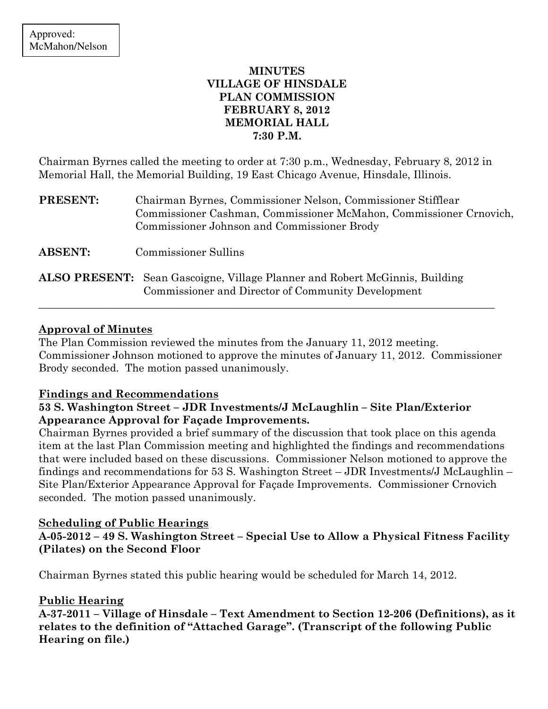## MINUTES VILLAGE OF HINSDALE PLAN COMMISSION FEBRUARY 8, 2012 MEMORIAL HALL 7:30 P.M.

Chairman Byrnes called the meeting to order at 7:30 p.m., Wednesday, February 8, 2012 in Memorial Hall, the Memorial Building, 19 East Chicago Avenue, Hinsdale, Illinois.

| <b>PRESENT:</b> | Chairman Byrnes, Commissioner Nelson, Commissioner Stifflear<br>Commissioner Cashman, Commissioner McMahon, Commissioner Crnovich,<br>Commissioner Johnson and Commissioner Brody |
|-----------------|-----------------------------------------------------------------------------------------------------------------------------------------------------------------------------------|
| <b>ABSENT:</b>  | <b>Commissioner Sullins</b>                                                                                                                                                       |
|                 | <b>ALSO PRESENT:</b> Sean Gascoigne, Village Planner and Robert McGinnis, Building<br>Commissioner and Director of Community Development                                          |

## Approval of Minutes

The Plan Commission reviewed the minutes from the January 11, 2012 meeting. Commissioner Johnson motioned to approve the minutes of January 11, 2012. Commissioner Brody seconded. The motion passed unanimously.

\_\_\_\_\_\_\_\_\_\_\_\_\_\_\_\_\_\_\_\_\_\_\_\_\_\_\_\_\_\_\_\_\_\_\_\_\_\_\_\_\_\_\_\_\_\_\_\_\_\_\_\_\_\_\_\_\_\_\_\_\_\_\_\_\_\_\_\_\_\_\_\_\_\_\_\_\_\_\_\_\_\_\_\_\_

### Findings and Recommendations

### 53 S. Washington Street – JDR Investments/J McLaughlin – Site Plan/Exterior Appearance Approval for Façade Improvements.

Chairman Byrnes provided a brief summary of the discussion that took place on this agenda item at the last Plan Commission meeting and highlighted the findings and recommendations that were included based on these discussions. Commissioner Nelson motioned to approve the findings and recommendations for 53 S. Washington Street – JDR Investments/J McLaughlin – Site Plan/Exterior Appearance Approval for Façade Improvements. Commissioner Crnovich seconded. The motion passed unanimously.

### Scheduling of Public Hearings

A-05-2012 – 49 S. Washington Street – Special Use to Allow a Physical Fitness Facility (Pilates) on the Second Floor

Chairman Byrnes stated this public hearing would be scheduled for March 14, 2012.

# Public Hearing

A-37-2011 – Village of Hinsdale – Text Amendment to Section 12-206 (Definitions), as it relates to the definition of "Attached Garage". (Transcript of the following Public Hearing on file.)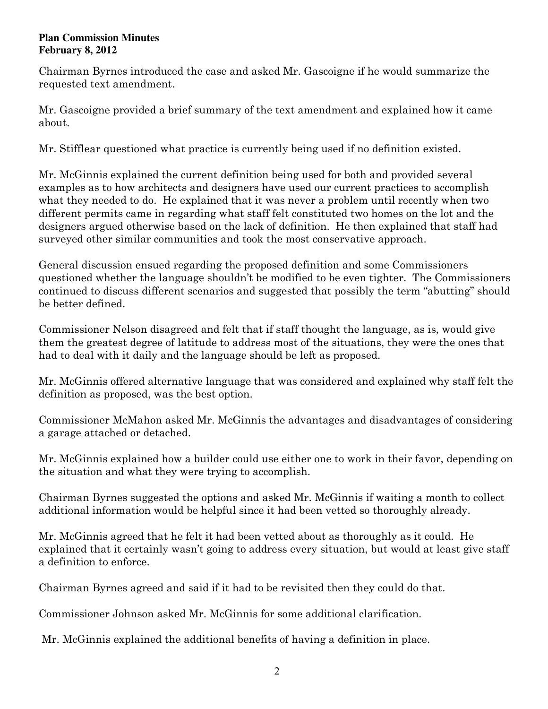#### **Plan Commission Minutes February 8, 2012**

Chairman Byrnes introduced the case and asked Mr. Gascoigne if he would summarize the requested text amendment.

Mr. Gascoigne provided a brief summary of the text amendment and explained how it came about.

Mr. Stifflear questioned what practice is currently being used if no definition existed.

Mr. McGinnis explained the current definition being used for both and provided several examples as to how architects and designers have used our current practices to accomplish what they needed to do. He explained that it was never a problem until recently when two different permits came in regarding what staff felt constituted two homes on the lot and the designers argued otherwise based on the lack of definition. He then explained that staff had surveyed other similar communities and took the most conservative approach.

General discussion ensued regarding the proposed definition and some Commissioners questioned whether the language shouldn't be modified to be even tighter. The Commissioners continued to discuss different scenarios and suggested that possibly the term "abutting" should be better defined.

Commissioner Nelson disagreed and felt that if staff thought the language, as is, would give them the greatest degree of latitude to address most of the situations, they were the ones that had to deal with it daily and the language should be left as proposed.

Mr. McGinnis offered alternative language that was considered and explained why staff felt the definition as proposed, was the best option.

Commissioner McMahon asked Mr. McGinnis the advantages and disadvantages of considering a garage attached or detached.

Mr. McGinnis explained how a builder could use either one to work in their favor, depending on the situation and what they were trying to accomplish.

Chairman Byrnes suggested the options and asked Mr. McGinnis if waiting a month to collect additional information would be helpful since it had been vetted so thoroughly already.

Mr. McGinnis agreed that he felt it had been vetted about as thoroughly as it could. He explained that it certainly wasn't going to address every situation, but would at least give staff a definition to enforce.

Chairman Byrnes agreed and said if it had to be revisited then they could do that.

Commissioner Johnson asked Mr. McGinnis for some additional clarification.

Mr. McGinnis explained the additional benefits of having a definition in place.